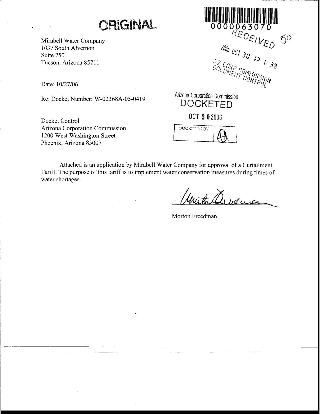# **ORIGINAL**

Mirabell Water Company 1037 South Alvernon Suite 250 Tucson, Arizona 8571 1

Date: 10/27/06

Re: Docket Number: W-02368A-05-04 19

Docket Control Arizona Corporation Commission 1200 West Washington Street Phoenix, Arizona 85007

50  $\begin{array}{c}\n\frac{2006}{100} & 0.1 \text{ VED} \\
\frac{2006}{100} & \frac{30}{100} \text{ I: } 38\n\end{array}$ AZ CORP 30 P 1: 3<br>DOCUMENT COMMISSION

Arizona Corporation Commission DOCKETED

OCT **3** 02006

**DOCKETED BY** 

Attached is an application by Mirabell Water Company for approval of a Curtailment Tariff. The purpose of this tariff is to implement water conservation measures during times of water shortages.

Wester alleder ca

Morton Freedman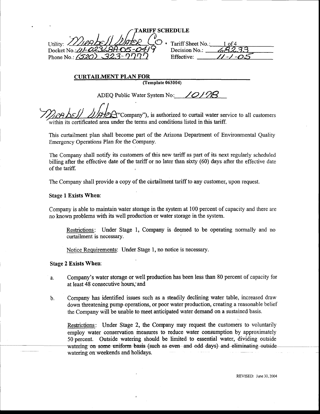| $\neg$ TARIFF SCHEDULE                        |            |  |
|-----------------------------------------------|------------|--|
| Utility: <i>MIPPES (0</i> , Tariff Sheet No.: |            |  |
|                                               | 68233      |  |
| Phone No.: (520) 32.3-7777                    | Effective: |  |

**CURTAILMENT PLAN FOR** 

**(Template 063004)** 

ADEQ Public Water System No: **/O/28** 

Company"), is authorized to curtail water service to all customers  $\frac{1}{2}$  hin its certificated area under the terms and conditions listed in this tariff,

This curtailment plan shall become part of the Arizona Department of Environmental Quality Emergency Operations Plan for the Company.

The Company shall notify its customers of this new tariff as part of its next regularly scheduled billing after the effective date of the tariff or no later than **sixty (60)** days after the effective date of the tariff.

The Company shall provide a copy of the curtailment tariff to any customer, upon request.

## Stage **1 Exists When:**

Company is able to maintain water storage in the system at 100 percent of capacity and there are no known problems with its well production or water storage in the system.

Restrictions: Under Stage 1, Company is deewed to be operating normally and no curtailment is necessary.

Notice Requirements: Under Stage I, no notice is necessary

# Stage **2 Exists When:**

- a. Company's water storage or well production has been less than 80 percent of capacity for at least **48** consecutive hours; and
- b. Company has identified issues such as a steadily declining water table, increased draw down threatening pump operations, or poor water production, creating a reasonable belief the Company will be unable to meet anticipated water demand on a sustained basis.

Restrictions: Under Stage **2,** the Company may request the customers to voluntarily employ water conservation measures to reduce water consumption by approximately 50 percent. Outside watering should be limited to essential water, dividing outside<br>restriction on come uniform bosis (such as even and add days) and eliminating outside watering on weekends and holidays. watering on some uniform basis (such as even and odd days) and eliminating outside Notice Requirements: Under Stage 1, no notice is necessary.<br>
Stage 2 Exists When:<br>
a. Company's water storage or well production has been less than 80 percent of capacity for<br>
a. Company is vater storage or well production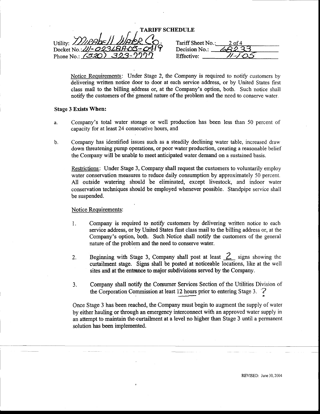### **TARIFF SCHEDULE**

Utility: *Dueabel* Docket No.:  $21 - 0$ Phone No.:  $\angle$  320

| Tariff Sheet No.: | 2 of 4 |
|-------------------|--------|
| Decision No.:     | 6822   |
| Effective:        |        |

Notice Requirements: Under Stage 2, the Company is required to notify customers by delivering written notice door to door at each service address, or by United States first class mail to the billing address or, at the Company's option, both. Such notice shall notify the customers **of** the general nature of the problem and the need to conserve water

#### **Stage 3 Exists When:**

- a. Company's total water storage or well production has been less than 50 percent of capacity for at least 24 consecutive hours, and
- b. Company has identified issues such as a steadily declining water table, increased draw down threatening pump operations, or poor water production, creating a reasonable belief the Company will be unable to meet anticipated water demand on a sustained basis.
	- Restrictions: Under Stage 3, Company shall request the customers to voluntarily employ water conservation measures to reduce daily consumption by approximately 50 percent. All outside watering should be eliminated, except livestock, and indoor water conservation techniques should be employed whenever possible. Standpipe service shall be suspended.

#### Notice Requirements:

- 1. Company is required to notify customers by delivering written notice to each service address, or by United States first class mail to the billing address or, at the Company's option, both. Such Notice shall notify the customers of the general nature of the problem and the need to conserve water.
- 2. Beginning with Stage 3, Company shall post at least 2 signs showing the curtailment stage. Signs shall be posted at noticeable locations, like at the well sites and at the entrance to major subdivisions served by the Co curtailment stage. Signs shall be posted at noticeable locations, like at the well sites and at the entrance to major subdivisions served by the Company.
- 3. Company shall notify the Corsumer Services Section of the Utilities Division of the Corporation Commission at least 12 hours prior to entering Stage 3. *'2*

Once Stage **3** has been reached, the Company must begin to augment the supply of water by either hauling or through an emergency interconnect with an approved water supply in an attempt to maintain the-curtailment at a level no higher than Stage 3 until a permanent solution has been implemented.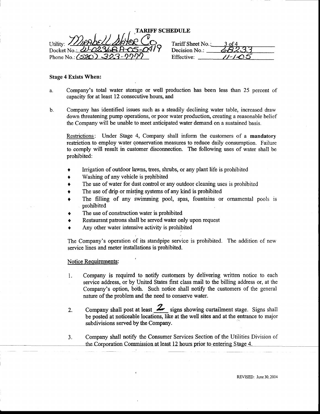| <b>TARIFF SCHEDULE</b>                                          |                                   |
|-----------------------------------------------------------------|-----------------------------------|
| Utility: <i>I MRADELL MATER</i> CO<br>Phone No.: (520) 323-2727 | Tariff Sl<br>Decision<br>Effectiv |

| Tariff Sheet No.: | 3 of 4        |
|-------------------|---------------|
| Decision No:      | 68233         |
| Effective:        | $11 - 1 - 05$ |

#### **Stage 4 Exists When:**

- a. Company's total water storage or well production has been less than 25 percent of capacity for at least 12 consecutive hours, and
- b. Company has identified issues such as a steadily declining water table, increased draw down threatening pump operations, or poor water production, creating a reasonable belief the Company will be unable to meet anticipated water demand on a sustained basis.

Restrictions: Under Stage 4, Company shall inform the customers of a **mandatory**  restriction to employ water conservation measures to reduce daily consumption. Failure to comply will result in customer disconnection. The following uses of water shall be prohibited:

- + Irrigation of outdoor lawns, trees, shrubs, or any plant life is prohibited
- + Washing of any vehicle is prohibited
- $\bullet$ The use of water for dust control or any outdoor cleaning uses is prohibited
- + The use of drip or misting systems of any kind is prohibited
- + The filling of any swimming pool, spas, fountains or ornamental pools is prohibited
- $\bullet$ The use of construction water is prohibited
- $\bullet$ Restaurant patrons shall be served water only upon request
- $\bullet$ Any other water intensive activity is prohibited

The Company's operation of its standpipe service is prohibited. The addition of new service lines and meter installations is prohibited.

#### Notice Requirements: **<sup>I</sup>**

- 1. Company is required to notify customers by delivering written notice to each service address, or by United States first class mail to the billing address or, at the Company's option, both. Such notice shall notify the customers of the general nature of the problem and the need to conserve water.
- **2.**  Company shall post at least <u>2</u> signs showing curtailment stage. Signs shall be posted at noticeable locations, like at the well sites and at the entrance to major subdivisions served by the Company.
- 3.  $\overline{\phantom{a}}$ Company shall notify the Consumer Services Section of the Utilities Division of the Corporation Commission at least 12 hours prior to entering Stage 4.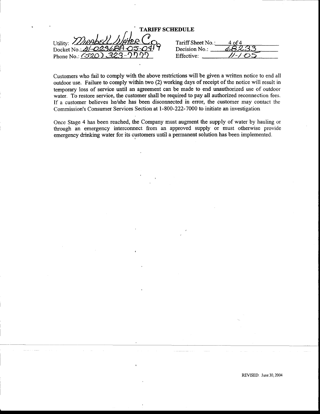| <b>TARIFF SCHEDULE</b>                                        |                                                                       |  |
|---------------------------------------------------------------|-----------------------------------------------------------------------|--|
| Utility: 701 Poles 21 11 Pres Co<br>Phone No.: (520) 323-7777 | Tariff Sheet No.:<br>$4 \text{ of } 4$<br>Decision No.:<br>Effective: |  |

Customers who fail to comply with the above restrictions will be given a written notice to end all outdoor use. Failure to comply within two **(2)** working days of receipt of the notice will result in temporary loss of service until an agreement can be made to end unauthorized use of outdoor water. To restore service, the customer shall be required to pay all authorized reconnection fees. If a customer believes he/she has been disconnected in error, the customer may contact the Commission's Consumer Services Section at 1-800-222-7000 to initiate an investigation

Once Stage 4 has been reached, the Company must augment the supply of water by hauling or through an emergency interconnect from an approved supply or must otherwise provide emergency drinking water for its customers until a permanent solution has been implemented.